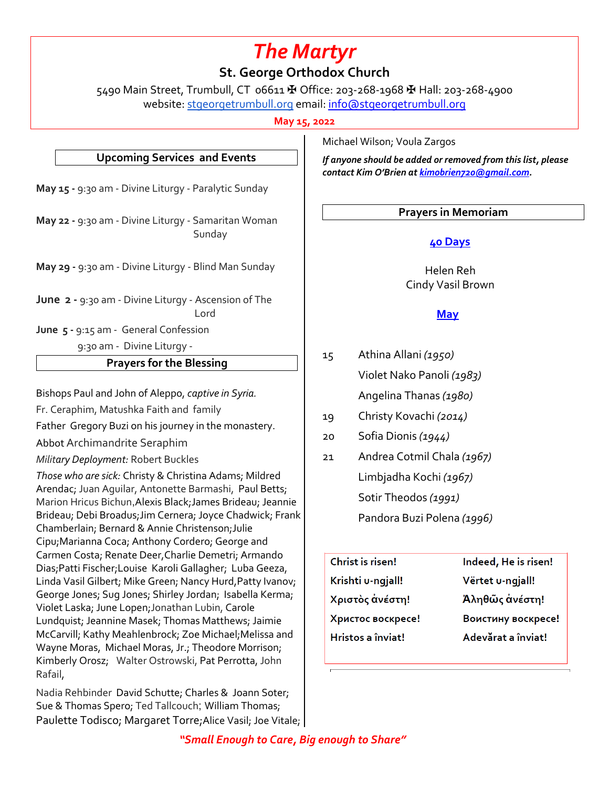# *The Martyr*

**St. George Orthodox Church**

5490 Main Street, Trumbull, CT 06611 ✠ Office: 203-268-1968 ✠ Hall: 203-268-4900 website: stgeorgetrumbull.org email: info@stgeorgetrumbull.org

**May 15, 2022**

# **Upcoming Services and Events**

**May 15 -** 9:30 am - Divine Liturgy - Paralytic Sunday

**May 22 -** 9:30 am - Divine Liturgy - Samaritan Woman Sunday

**May 29 -** 9:30 am - Divine Liturgy - Blind Man Sunday

**June 2 -** 9:30 am - Divine Liturgy - Ascension of The Lord

**June 5 -** 9:15 am - General Confession

9:30 am - Divine Liturgy -

# **Prayers for the Blessing**

Bishops Paul and John of Aleppo, *captive in Syria.*

Fr. Ceraphim, Matushka Faith and family

Father Gregory Buzi on his journey in the monastery.

Abbot Archimandrite Seraphim

*Military Deployment:* Robert Buckles

*Those who are sick:* Christy & Christina Adams; Mildred Arendac; Juan Aguilar, Antonette Barmashi, Paul Betts; Marion Hricus Bichun,Alexis Black;James Brideau; Jeannie Brideau; Debi Broadus;Jim Cernera; Joyce Chadwick; Frank Chamberlain; Bernard & Annie Christenson;Julie Cipu;Marianna Coca; Anthony Cordero; George and Carmen Costa; Renate Deer,Charlie Demetri; Armando Dias;Patti Fischer;Louise Karoli Gallagher; Luba Geeza, Linda Vasil Gilbert; Mike Green; Nancy Hurd,Patty Ivanov; George Jones; Sug Jones; Shirley Jordan; Isabella Kerma; Violet Laska; June Lopen;Jonathan Lubin, Carole Lundquist; Jeannine Masek; Thomas Matthews; Jaimie McCarvill; Kathy Meahlenbrock; Zoe Michael;Melissa and Wayne Moras, Michael Moras, Jr.; Theodore Morrison; Kimberly Orosz; Walter Ostrowski, Pat Perrotta, John Rafail,

Nadia Rehbinder David Schutte; Charles & Joann Soter; Sue & Thomas Spero; Ted Tallcouch; William Thomas; Paulette Todisco; Margaret Torre; Alice Vasil; Joe Vitale; | Michael Wilson; Voula Zargos

*If anyone should be added or removed from this list, please contact Kim O'Brien at kimobrien720@gmail.com.*

# **Prayers in Memoriam**

# **40 Days**

 Helen Reh Cindy Vasil Brown

# **May**

- 15 Athina Allani *(1950)* Violet Nako Panoli *(1983)* Angelina Thanas *(1980)*
- 19 Christy Kovachi *(2014)*
- 20 Sofia Dionis *(1944)*
- 21 Andrea Cotmil Chala *(1967)* Limbjadha Kochi *(1967)* Sotir Theodos *(1991)* Pandora Buzi Polena *(1996)*
	- Christ is risen! Krishti u-ngjall! Χριστὸς ἀνέστη! Христос воскресе! Hristos a înviat!

Indeed, He is risen! Vërtet u-ngjall! Άληθῶς ἀνέστη! Воистину воскресе! Adevărat a înviat!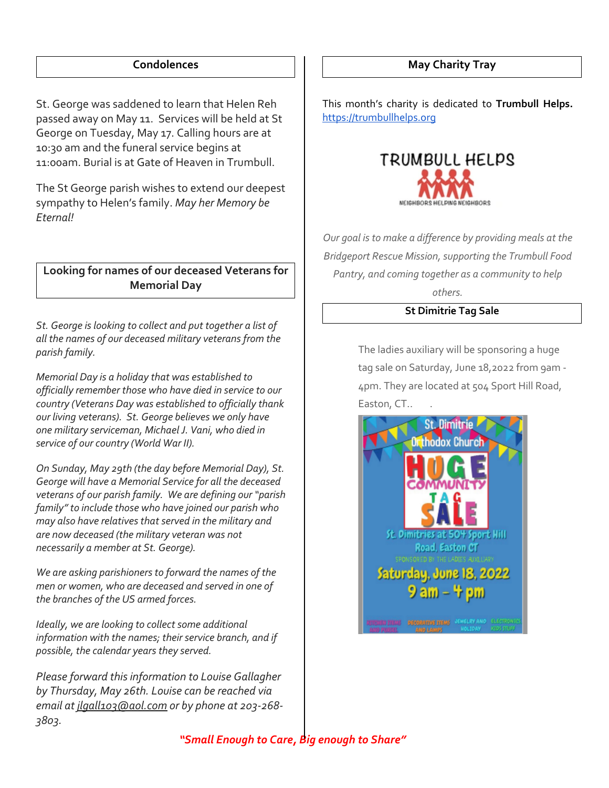# **Condolences**

St. George was saddened to learn that Helen Reh passed away on May 11. Services will be held at St George on Tuesday, May 17. Calling hours are at 10:30 am and the funeral service begins at 11:00am. Burial is at Gate of Heaven in Trumbull.

The St George parish wishes to extend our deepest sympathy to Helen's family. *May her Memory be Eternal!*

# **Looking for names of our deceased Veterans for Memorial Day**

*St. George is looking to collect and put together a list of all the names of our deceased military veterans from the parish family.* 

*Memorial Day is a holiday that was established to officially remember those who have died in service to our country (Veterans Day was established to officially thank our living veterans). St. George believes we only have one military serviceman, Michael J. Vani, who died in service of our country (World War II).*

*On Sunday, May 29th (the day before Memorial Day), St. George will have a Memorial Service for all the deceased veterans of our parish family. We are defining our "parish family" to include those who have joined our parish who may also have relatives that served in the military and are now deceased (the military veteran was not necessarily a member at St. George).*

*We are asking parishioners to forward the names of the men or women, who are deceased and served in one of the branches of the US armed forces.*

*Ideally, we are looking to collect some additional information with the names; their service branch, and if possible, the calendar years they served.*

*Please forward this information to Louise Gallagher by Thursday, May 26th. Louise can be reached via email at jlgall103@aol.com or by phone at 203-268- 3803.*

# **May Charity Tray**

This month's charity is dedicated to **Trumbull Helps.**  https://trumbullhelps.org



*Our goal is to make a difference by providing meals at the Bridgeport Rescue Mission, supporting the Trumbull Food Pantry, and coming together as a community to help others.*

# **St Dimitrie Tag Sale**

The ladies auxiliary will be sponsoring a huge tag sale on Saturday, June 18,2022 from 9am - 4pm. They are located at 504 Sport Hill Road, Easton, CT.. .